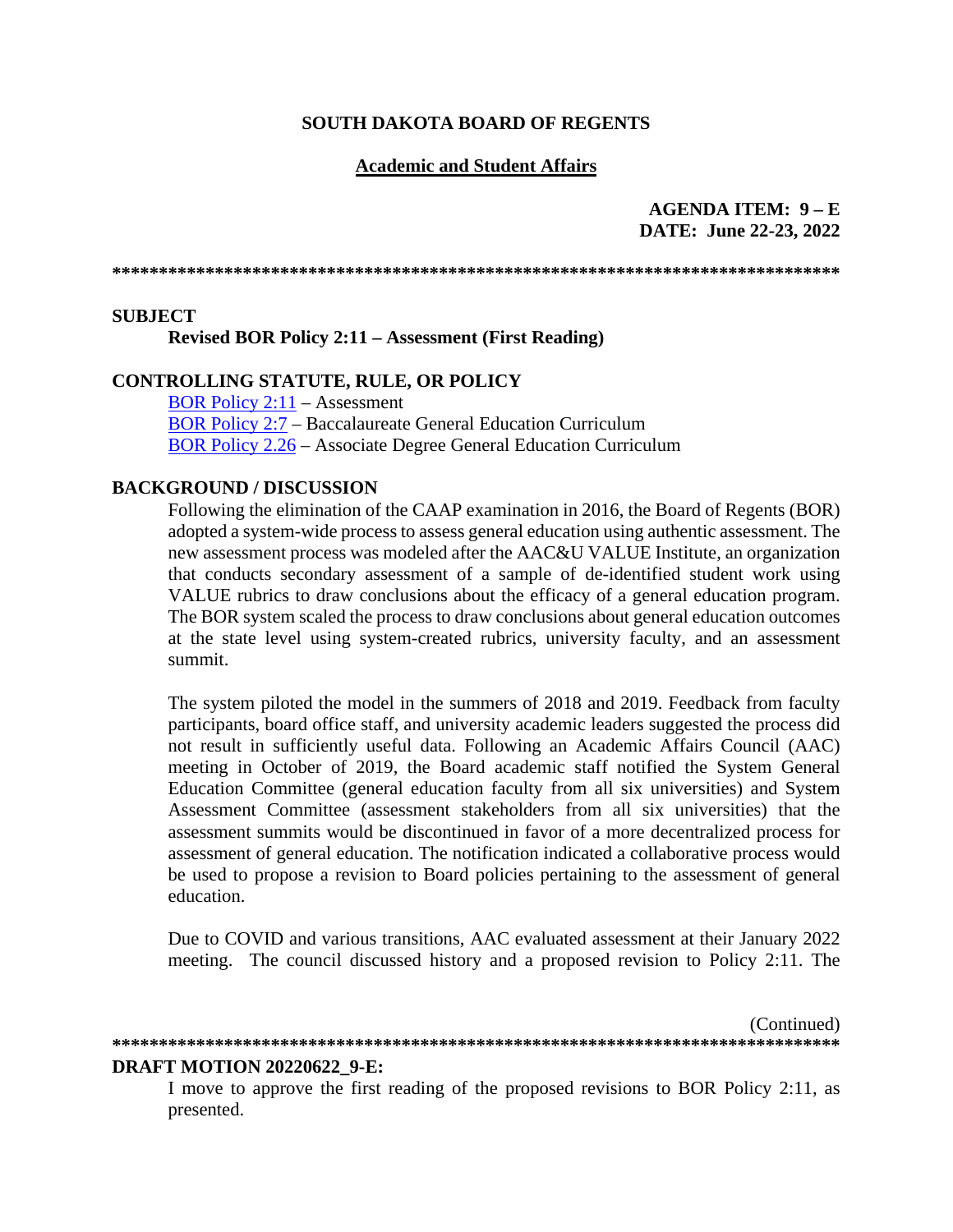### **SOUTH DAKOTA BOARD OF REGENTS**

## **Academic and Student Affairs**

## **AGENDA ITEM: 9 – E DATE: June 22-23, 2022**

**\*\*\*\*\*\*\*\*\*\*\*\*\*\*\*\*\*\*\*\*\*\*\*\*\*\*\*\*\*\*\*\*\*\*\*\*\*\*\*\*\*\*\*\*\*\*\*\*\*\*\*\*\*\*\*\*\*\*\*\*\*\*\*\*\*\*\*\*\*\*\*\*\*\*\*\*\*\***

## **SUBJECT**

**Revised BOR Policy 2:11 – Assessment (First Reading)**

## **CONTROLLING STATUTE, RULE, OR POLICY**

[BOR Policy 2:11](https://www.sdbor.edu/policy/documents/2-11.pdf) – Assessment [BOR Policy 2:7](https://www.sdbor.edu/policy/Documents/2-7.pdf) – Baccalaureate General Education Curriculum [BOR Policy 2.26](https://www.sdbor.edu/policy/documents/2-26.pdf) – Associate Degree General Education Curriculum

### **BACKGROUND / DISCUSSION**

Following the elimination of the CAAP examination in 2016, the Board of Regents (BOR) adopted a system-wide process to assess general education using authentic assessment. The new assessment process was modeled after the AAC&U VALUE Institute, an organization that conducts secondary assessment of a sample of de-identified student work using VALUE rubrics to draw conclusions about the efficacy of a general education program. The BOR system scaled the process to draw conclusions about general education outcomes at the state level using system-created rubrics, university faculty, and an assessment summit.

The system piloted the model in the summers of 2018 and 2019. Feedback from faculty participants, board office staff, and university academic leaders suggested the process did not result in sufficiently useful data. Following an Academic Affairs Council (AAC) meeting in October of 2019, the Board academic staff notified the System General Education Committee (general education faculty from all six universities) and System Assessment Committee (assessment stakeholders from all six universities) that the assessment summits would be discontinued in favor of a more decentralized process for assessment of general education. The notification indicated a collaborative process would be used to propose a revision to Board policies pertaining to the assessment of general education.

Due to COVID and various transitions, AAC evaluated assessment at their January 2022 meeting. The council discussed history and a proposed revision to Policy 2:11. The

(Continued) **\*\*\*\*\*\*\*\*\*\*\*\*\*\*\*\*\*\*\*\*\*\*\*\*\*\*\*\*\*\*\*\*\*\*\*\*\*\*\*\*\*\*\*\*\*\*\*\*\*\*\*\*\*\*\*\*\*\*\*\*\*\*\*\*\*\*\*\*\*\*\*\*\*\*\*\*\*\***

# **DRAFT MOTION 20220622\_9-E:**

I move to approve the first reading of the proposed revisions to BOR Policy 2:11, as presented.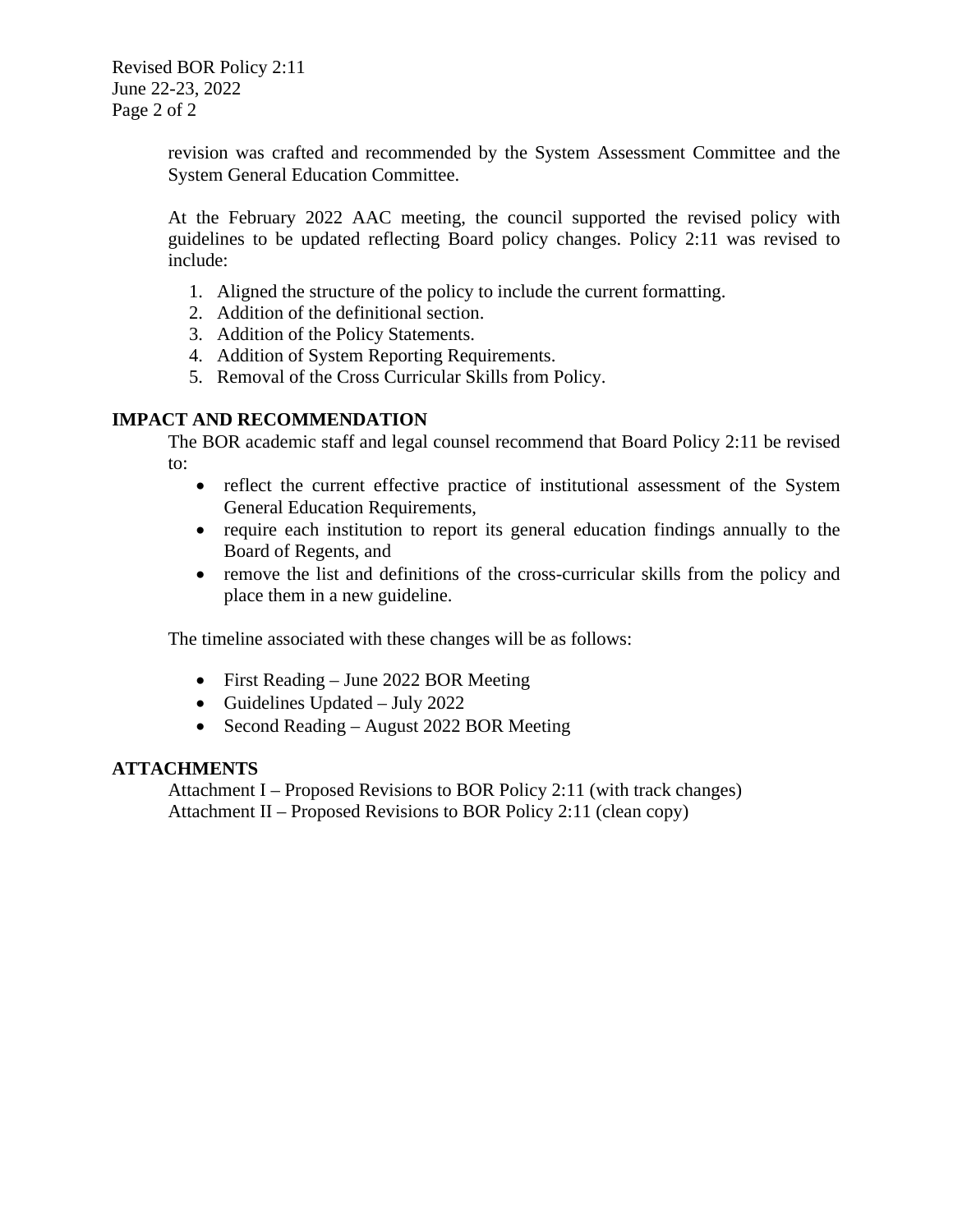revision was crafted and recommended by the System Assessment Committee and the System General Education Committee.

At the February 2022 AAC meeting, the council supported the revised policy with guidelines to be updated reflecting Board policy changes. Policy 2:11 was revised to include:

- 1. Aligned the structure of the policy to include the current formatting.
- 2. Addition of the definitional section.
- 3. Addition of the Policy Statements.
- 4. Addition of System Reporting Requirements.
- 5. Removal of the Cross Curricular Skills from Policy.

## **IMPACT AND RECOMMENDATION**

The BOR academic staff and legal counsel recommend that Board Policy 2:11 be revised to:

- reflect the current effective practice of institutional assessment of the System General Education Requirements,
- require each institution to report its general education findings annually to the Board of Regents, and
- remove the list and definitions of the cross-curricular skills from the policy and place them in a new guideline.

The timeline associated with these changes will be as follows:

- First Reading June 2022 BOR Meeting
- Guidelines Updated July 2022
- Second Reading August 2022 BOR Meeting

## **ATTACHMENTS**

Attachment I – Proposed Revisions to BOR Policy 2:11 (with track changes) Attachment II – Proposed Revisions to BOR Policy 2:11 (clean copy)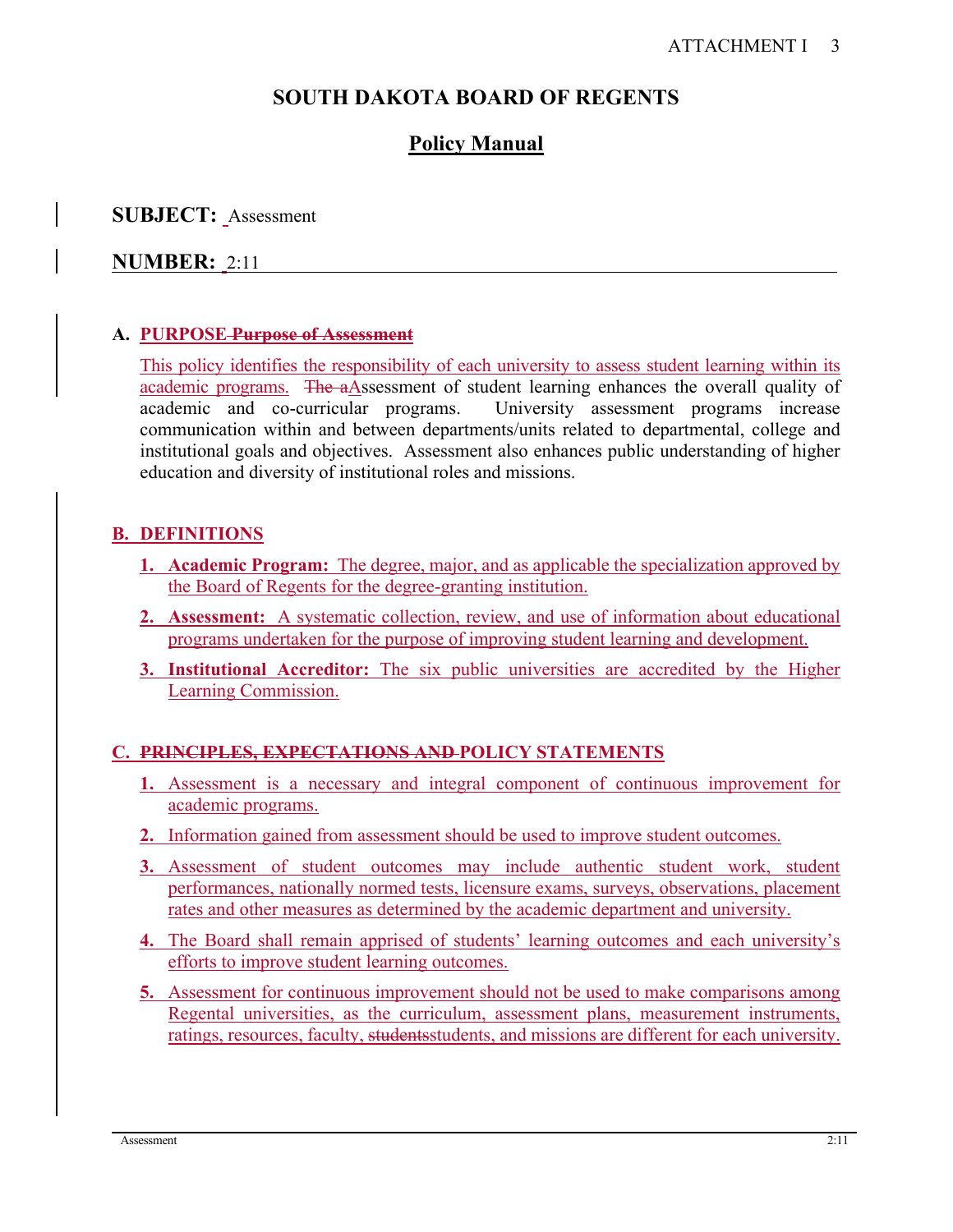# **SOUTH DAKOTA BOARD OF REGENTS**

# **Policy Manual**

# **SUBJECT:** Assessment

# **NUMBER:** 2:11

## **A. PURPOSE Purpose of Assessment**

This policy identifies the responsibility of each university to assess student learning within its academic programs. The aAssessment of student learning enhances the overall quality of academic and co-curricular programs. University assessment programs increase communication within and between departments/units related to departmental, college and institutional goals and objectives. Assessment also enhances public understanding of higher education and diversity of institutional roles and missions.

# **B. DEFINITIONS**

- **1. Academic Program:** The degree, major, and as applicable the specialization approved by the Board of Regents for the degree-granting institution.
- **2. Assessment:** A systematic collection, review, and use of information about educational programs undertaken for the purpose of improving student learning and development.
- **3. Institutional Accreditor:** The six public universities are accredited by the Higher Learning Commission.

# **C. PRINCIPLES, EXPECTATIONS AND POLICY STATEMENTS**

- **1.** Assessment is a necessary and integral component of continuous improvement for academic programs.
- **2.** Information gained from assessment should be used to improve student outcomes.
- **3.** Assessment of student outcomes may include authentic student work, student performances, nationally normed tests, licensure exams, surveys, observations, placement rates and other measures as determined by the academic department and university.
- **4.** The Board shall remain apprised of students' learning outcomes and each university's efforts to improve student learning outcomes.
- **5.** Assessment for continuous improvement should not be used to make comparisons among Regental universities, as the curriculum, assessment plans, measurement instruments, ratings, resources, faculty, studentsstudents, and missions are different for each university.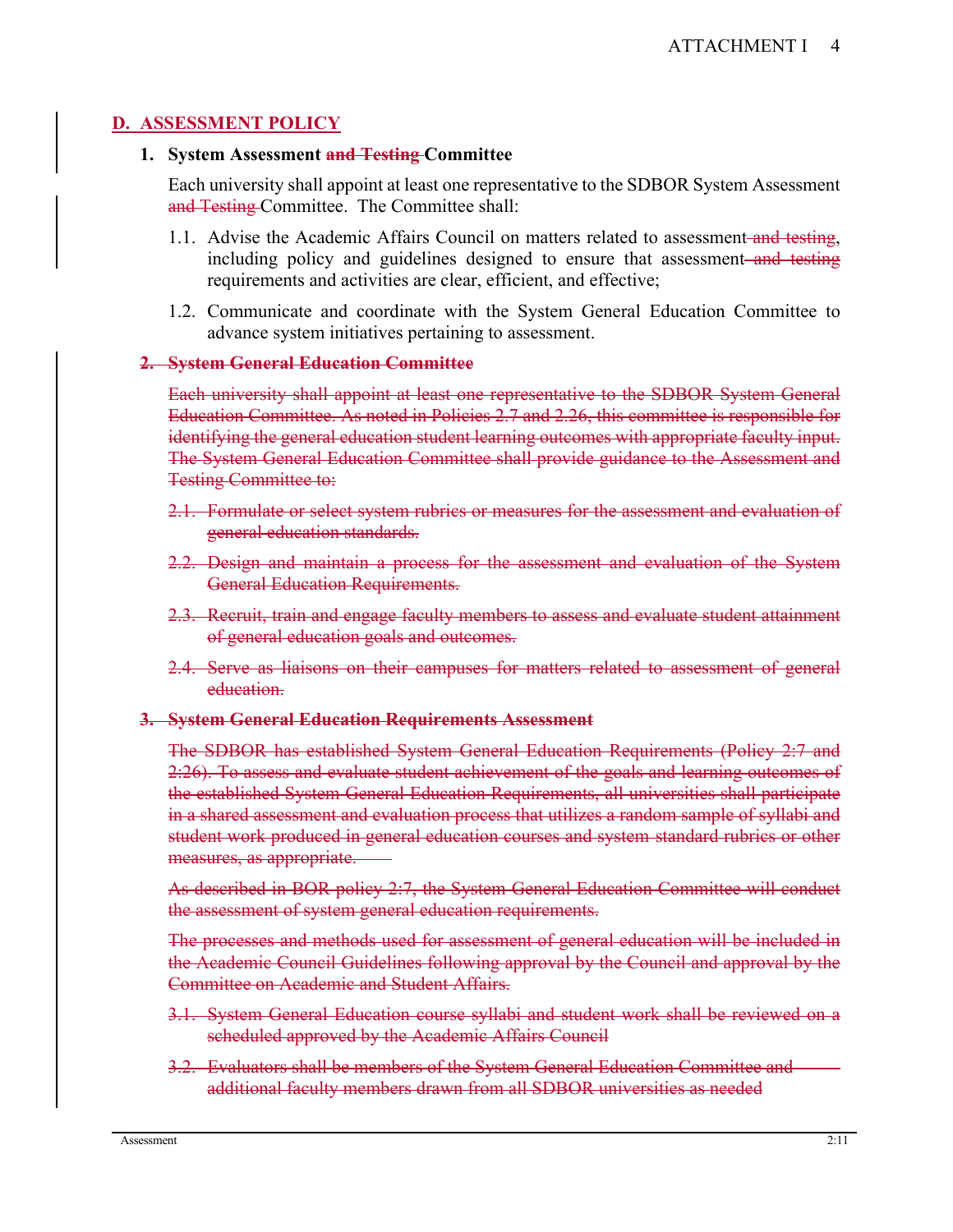# **D. ASSESSMENT POLICY**

## **1. System Assessment and Testing Committee**

Each university shall appoint at least one representative to the SDBOR System Assessment and Testing Committee. The Committee shall:

- 1.1. Advise the Academic Affairs Council on matters related to assessment and testing, including policy and guidelines designed to ensure that assessment and testing requirements and activities are clear, efficient, and effective;
- 1.2. Communicate and coordinate with the System General Education Committee to advance system initiatives pertaining to assessment.

## **2. System General Education Committee**

Each university shall appoint at least one representative to the SDBOR System General Education Committee. As noted in Policies 2.7 and 2.26, this committee is responsible for identifying the general education student learning outcomes with appropriate faculty input. The System General Education Committee shall provide guidance to the Assessment and Testing Committee to:

- 2.1. Formulate or select system rubrics or measures for the assessment and evaluation of general education standards.
- 2.2. Design and maintain a process for the assessment and evaluation of the System General Education Requirements.
- 2.3. Recruit, train and engage faculty members to assess and evaluate student attainment of general education goals and outcomes.
- 2.4. Serve as liaisons on their campuses for matters related to assessment of general education.

## **3. System General Education Requirements Assessment**

The SDBOR has established System General Education Requirements (Policy 2:7 and 2:26). To assess and evaluate student achievement of the goals and learning outcomes of the established System General Education Requirements, all universities shall participate in a shared assessment and evaluation process that utilizes a random sample of syllabi and student work produced in general education courses and system standard rubrics or other measures, as appropriate.

As described in BOR policy 2:7, the System General Education Committee will conduct the assessment of system general education requirements.

The processes and methods used for assessment of general education will be included in the Academic Council Guidelines following approval by the Council and approval by the Committee on Academic and Student Affairs.

- 3.1. System General Education course syllabi and student work shall be reviewed on a scheduled approved by the Academic Affairs Council
- 3.2. Evaluators shall be members of the System General Education Committee and additional faculty members drawn from all SDBOR universities as needed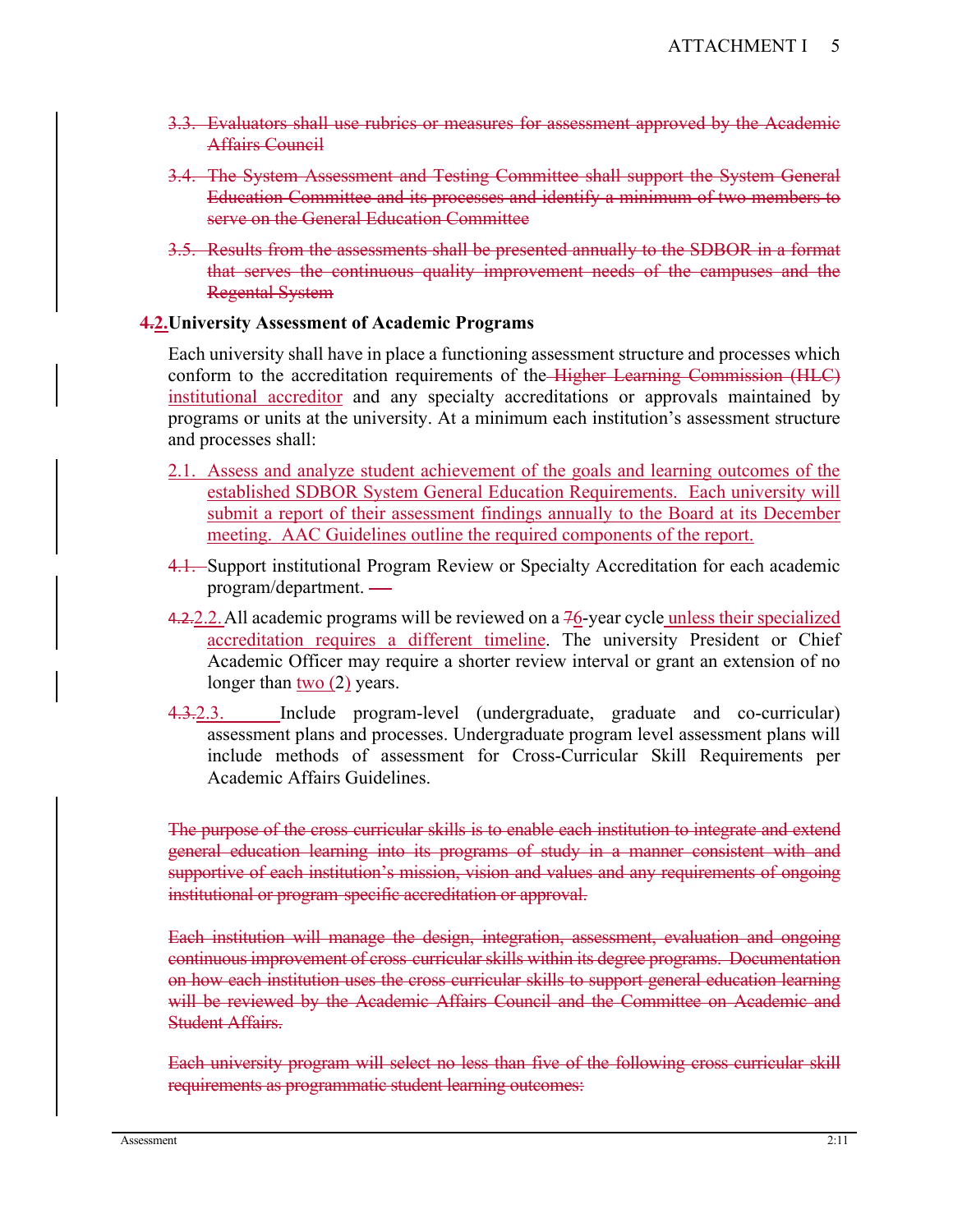- 3.3. Evaluators shall use rubrics or measures for assessment approved by the Academic Affairs Council
- 3.4. The System Assessment and Testing Committee shall support the System General Education Committee and its processes and identify a minimum of two members to serve on the General Education Committee
- 3.5. Results from the assessments shall be presented annually to the SDBOR in a format that serves the continuous quality improvement needs of the campuses and the Regental System

## **4.2.University Assessment of Academic Programs**

Each university shall have in place a functioning assessment structure and processes which conform to the accreditation requirements of the Higher Learning Commission (HLC) institutional accreditor and any specialty accreditations or approvals maintained by programs or units at the university. At a minimum each institution's assessment structure and processes shall:

- 2.1. Assess and analyze student achievement of the goals and learning outcomes of the established SDBOR System General Education Requirements. Each university will submit a report of their assessment findings annually to the Board at its December meeting. AAC Guidelines outline the required components of the report.
- 4.1. Support institutional Program Review or Specialty Accreditation for each academic program/department.
- 4.2.2.2. All academic programs will be reviewed on a 76-year cycle unless their specialized accreditation requires a different timeline. The university President or Chief Academic Officer may require a shorter review interval or grant an extension of no longer than  $two (2)$  years.</u>
- 4.3.2.3. Include program-level (undergraduate, graduate and co-curricular) assessment plans and processes. Undergraduate program level assessment plans will include methods of assessment for Cross-Curricular Skill Requirements per Academic Affairs Guidelines.

The purpose of the cross curricular skills is to enable each institution to integrate and extend general education learning into its programs of study in a manner consistent with and supportive of each institution's mission, vision and values and any requirements of ongoing institutional or program specific accreditation or approval.

Each institution will manage the design, integration, assessment, evaluation and ongoing continuous improvement of cross curricular skills within its degree programs. Documentation on how each institution uses the cross curricular skills to support general education learning will be reviewed by the Academic Affairs Council and the Committee on Academic and Student Affairs.

Each university program will select no less than five of the following cross curricular skill requirements as programmatic student learning outcomes: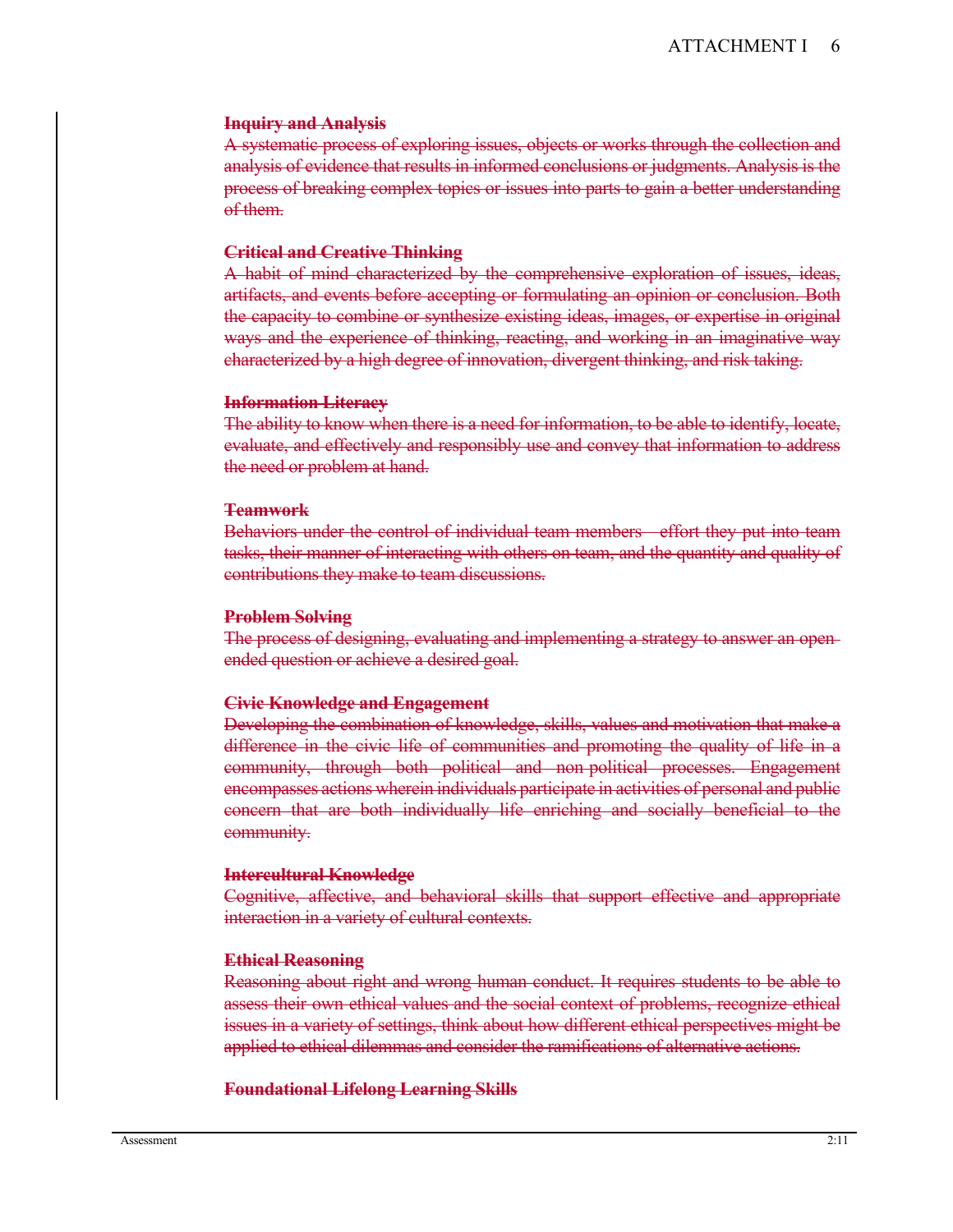#### **Inquiry and Analysis**

A systematic process of exploring issues, objects or works through the collection and analysis of evidence that results in informed conclusions or judgments. Analysis is the process of breaking complex topics or issues into parts to gain a better understanding of them.

#### **Critical and Creative Thinking**

A habit of mind characterized by the comprehensive exploration of issues, ideas, artifacts, and events before accepting or formulating an opinion or conclusion. Both the capacity to combine or synthesize existing ideas, images, or expertise in original ways and the experience of thinking, reacting, and working in an imaginative way characterized by a high degree of innovation, divergent thinking, and risk taking.

#### **Information Literacy**

The ability to know when there is a need for information, to be able to identify, locate, evaluate, and effectively and responsibly use and convey that information to address the need or problem at hand.

#### **Teamwork**

Behaviors under the control of individual team members effort they put into team tasks, their manner of interacting with others on team, and the quantity and quality of contributions they make to team discussions.

#### **Problem Solving**

The process of designing, evaluating and implementing a strategy to answer an open ended question or achieve a desired goal.

#### **Civic Knowledge and Engagement**

Developing the combination of knowledge, skills, values and motivation that make a difference in the civic life of communities and promoting the quality of life in a community, through both political and non political processes. Engagement encompasses actions wherein individuals participate in activities of personal and public concern that are both individually life enriching and socially beneficial to the community.

#### **Intercultural Knowledge**

Cognitive, affective, and behavioral skills that support effective and appropriate interaction in a variety of cultural contexts.

#### **Ethical Reasoning**

Reasoning about right and wrong human conduct. It requires students to be able to assess their own ethical values and the social context of problems, recognize ethical issues in a variety of settings, think about how different ethical perspectives might be applied to ethical dilemmas and consider the ramifications of alternative actions.

#### **Foundational Lifelong Learning Skills**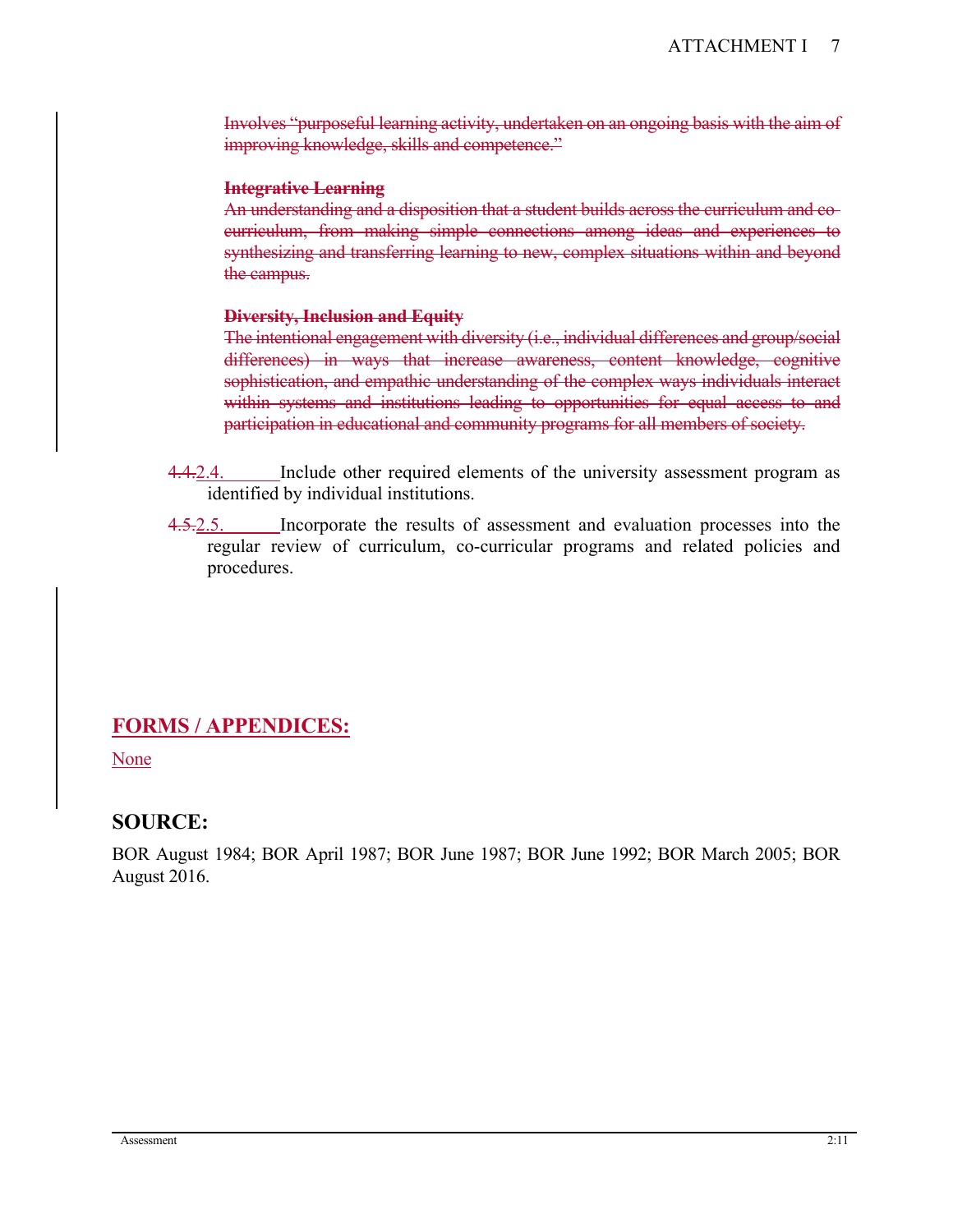Involves "purposeful learning activity, undertaken on an ongoing basis with the aim of improving knowledge, skills and competence."

### **Integrative Learning**

An understanding and a disposition that a student builds across the curriculum and co curriculum, from making simple connections among ideas and experiences to synthesizing and transferring learning to new, complex situations within and beyond the campus.

### **Diversity, Inclusion and Equity**

The intentional engagement with diversity (i.e., individual differences and group/social differences) in ways that increase awareness, content knowledge, cognitive sophistication, and empathic understanding of the complex ways individuals interact within systems and institutions leading to opportunities for equal access to and participation in educational and community programs for all members of society.

- 4.4.2.4. Include other required elements of the university assessment program as identified by individual institutions.
- 4.5.2.5. Incorporate the results of assessment and evaluation processes into the regular review of curriculum, co-curricular programs and related policies and procedures.

# **FORMS / APPENDICES:**

None

# **SOURCE:**

BOR August 1984; BOR April 1987; BOR June 1987; BOR June 1992; BOR March 2005; BOR August 2016.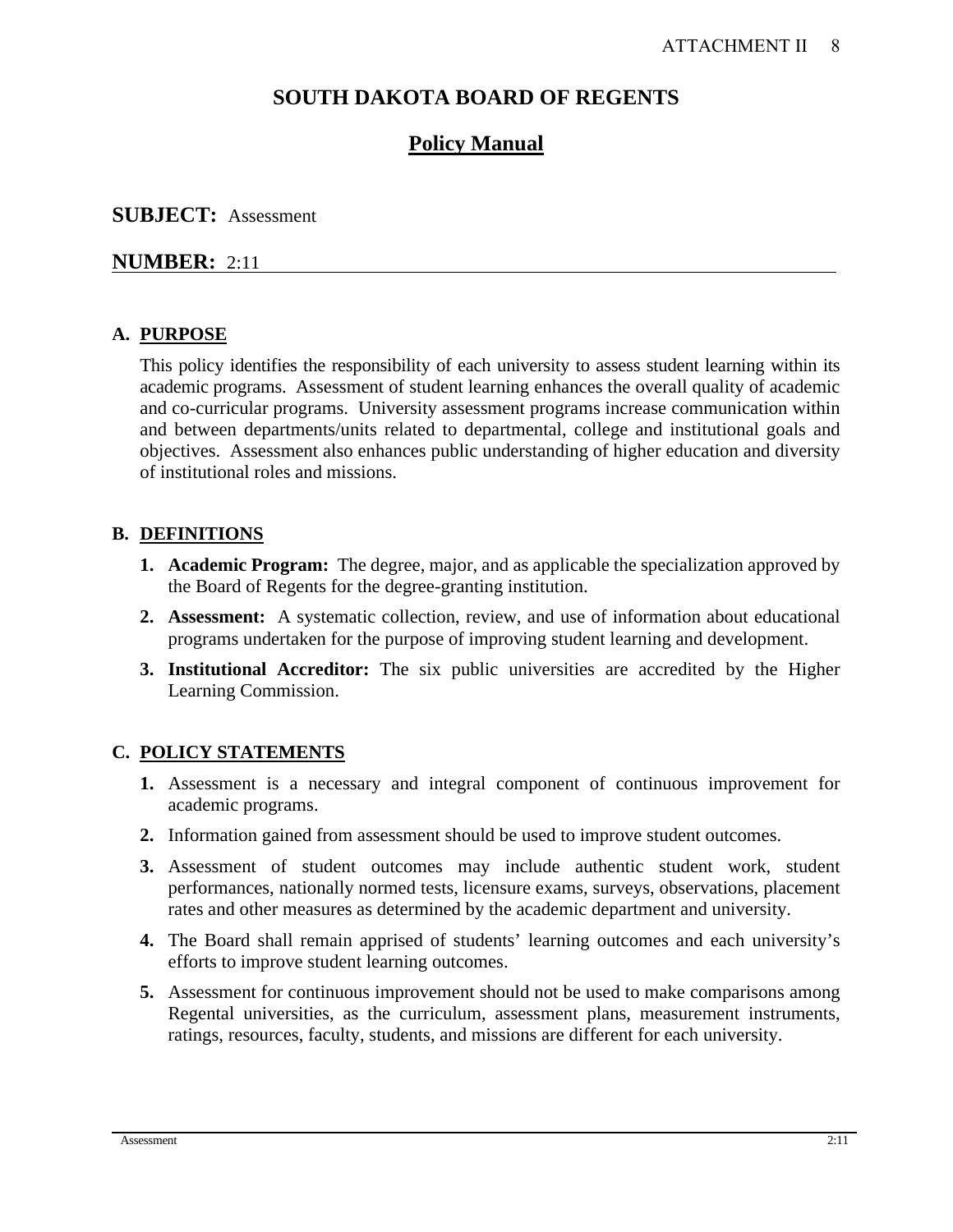# **SOUTH DAKOTA BOARD OF REGENTS**

# **Policy Manual**

# **SUBJECT:** Assessment

# **NUMBER:** 2:11

# **A. PURPOSE**

This policy identifies the responsibility of each university to assess student learning within its academic programs. Assessment of student learning enhances the overall quality of academic and co-curricular programs. University assessment programs increase communication within and between departments/units related to departmental, college and institutional goals and objectives. Assessment also enhances public understanding of higher education and diversity of institutional roles and missions.

## **B. DEFINITIONS**

- **1. Academic Program:** The degree, major, and as applicable the specialization approved by the Board of Regents for the degree-granting institution.
- **2. Assessment:** A systematic collection, review, and use of information about educational programs undertaken for the purpose of improving student learning and development.
- **3. Institutional Accreditor:** The six public universities are accredited by the Higher Learning Commission.

# **C. POLICY STATEMENTS**

- **1.** Assessment is a necessary and integral component of continuous improvement for academic programs.
- **2.** Information gained from assessment should be used to improve student outcomes.
- **3.** Assessment of student outcomes may include authentic student work, student performances, nationally normed tests, licensure exams, surveys, observations, placement rates and other measures as determined by the academic department and university.
- **4.** The Board shall remain apprised of students' learning outcomes and each university's efforts to improve student learning outcomes.
- **5.** Assessment for continuous improvement should not be used to make comparisons among Regental universities, as the curriculum, assessment plans, measurement instruments, ratings, resources, faculty, students, and missions are different for each university.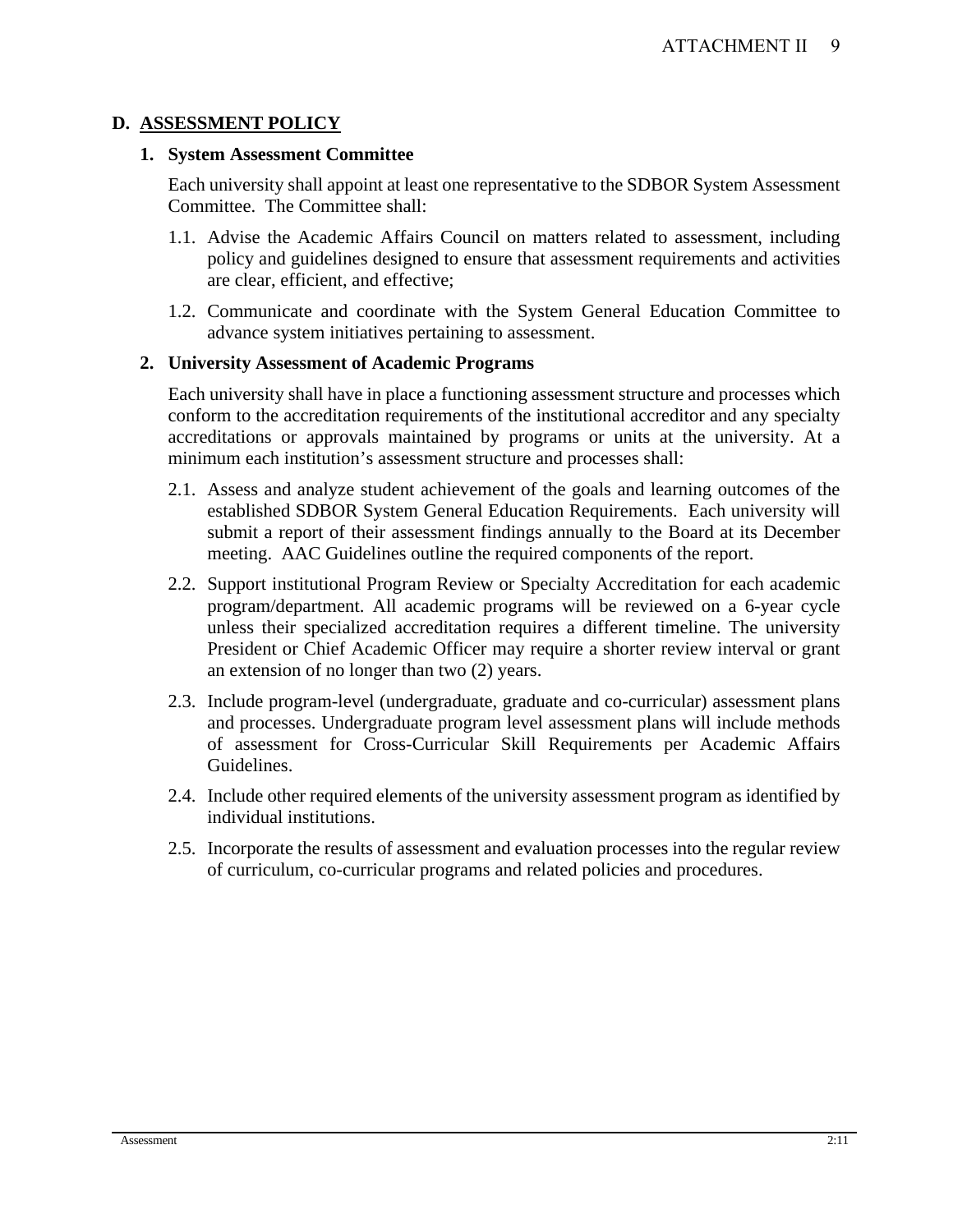# **D. ASSESSMENT POLICY**

### **1. System Assessment Committee**

Each university shall appoint at least one representative to the SDBOR System Assessment Committee. The Committee shall:

- 1.1. Advise the Academic Affairs Council on matters related to assessment, including policy and guidelines designed to ensure that assessment requirements and activities are clear, efficient, and effective;
- 1.2. Communicate and coordinate with the System General Education Committee to advance system initiatives pertaining to assessment.

## **2. University Assessment of Academic Programs**

Each university shall have in place a functioning assessment structure and processes which conform to the accreditation requirements of the institutional accreditor and any specialty accreditations or approvals maintained by programs or units at the university. At a minimum each institution's assessment structure and processes shall:

- 2.1. Assess and analyze student achievement of the goals and learning outcomes of the established SDBOR System General Education Requirements. Each university will submit a report of their assessment findings annually to the Board at its December meeting. AAC Guidelines outline the required components of the report.
- 2.2. Support institutional Program Review or Specialty Accreditation for each academic program/department. All academic programs will be reviewed on a 6-year cycle unless their specialized accreditation requires a different timeline. The university President or Chief Academic Officer may require a shorter review interval or grant an extension of no longer than two (2) years.
- 2.3. Include program-level (undergraduate, graduate and co-curricular) assessment plans and processes. Undergraduate program level assessment plans will include methods of assessment for Cross-Curricular Skill Requirements per Academic Affairs Guidelines.
- 2.4. Include other required elements of the university assessment program as identified by individual institutions.
- 2.5. Incorporate the results of assessment and evaluation processes into the regular review of curriculum, co-curricular programs and related policies and procedures.